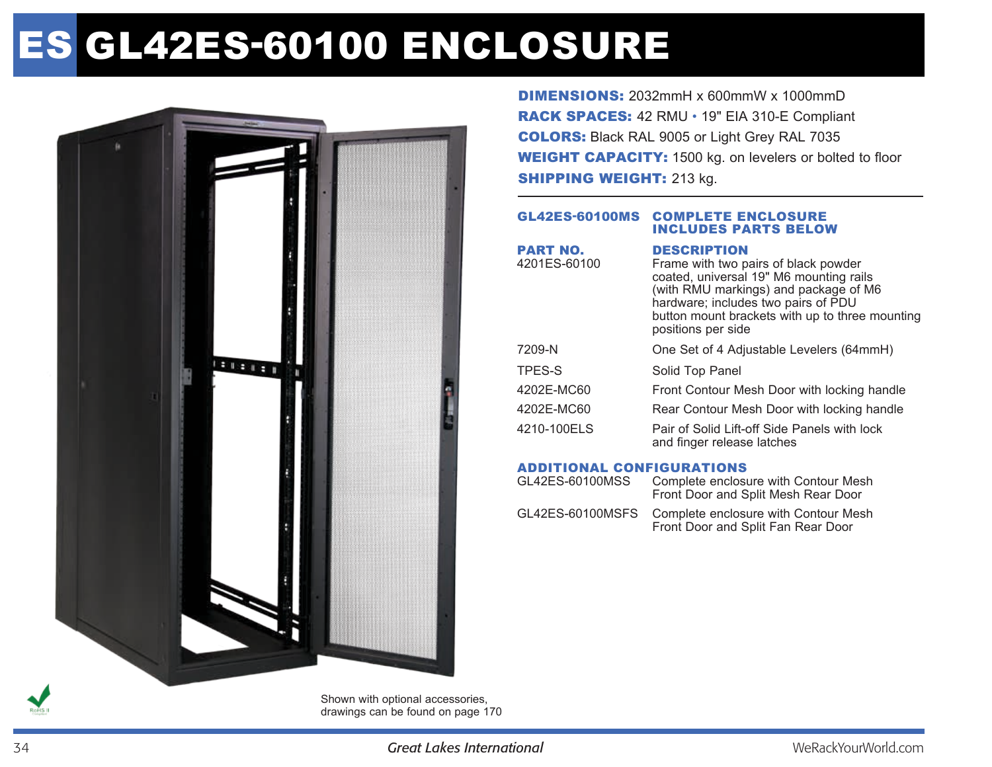# ES GL42ES-60100 ENCLOSURE



DIMENSIONS: 2032mmH x 600mmW x 1000mmD RACK SPACES: 42 RMU • 19" EIA 310-E Compliant COLORS: Black RAL 9005 or Light Grey RAL 7035 WEIGHT CAPACITY: 1500 kg. on levelers or bolted to floor **SHIPPING WEIGHT: 213 kg.** 

#### GL42ES-60100MS Complete enclosure includes parts below

| <b>PART NO.</b><br>4201ES-60100 | <b>DESCRIPTION</b><br>Frame with two pairs of black powder<br>coated, universal 19" M6 mounting rails<br>(with RMU markings) and package of M6<br>hardware; includes two pairs of PDU<br>button mount brackets with up to three mounting<br>positions per side |
|---------------------------------|----------------------------------------------------------------------------------------------------------------------------------------------------------------------------------------------------------------------------------------------------------------|
| 7209-N                          | One Set of 4 Adjustable Levelers (64mmH)                                                                                                                                                                                                                       |
| TPES-S                          | Solid Top Panel                                                                                                                                                                                                                                                |
| 4202E-MC60                      | Front Contour Mesh Door with locking handle                                                                                                                                                                                                                    |
| 4202E-MC60                      | Rear Contour Mesh Door with locking handle                                                                                                                                                                                                                     |
| 4210-100ELS                     | Pair of Solid Lift-off Side Panels with lock<br>and finger release latches                                                                                                                                                                                     |

## Additional Configurations

| GL42ES-60100MSS  | Complete enclosure with Contour Mesh<br>Front Door and Split Mesh Rear Door |
|------------------|-----------------------------------------------------------------------------|
| GL42ES-60100MSFS | Complete enclosure with Contour Mesh<br>Front Door and Split Fan Rear Door  |

Shown with optional accessories, drawings can be found on page 170